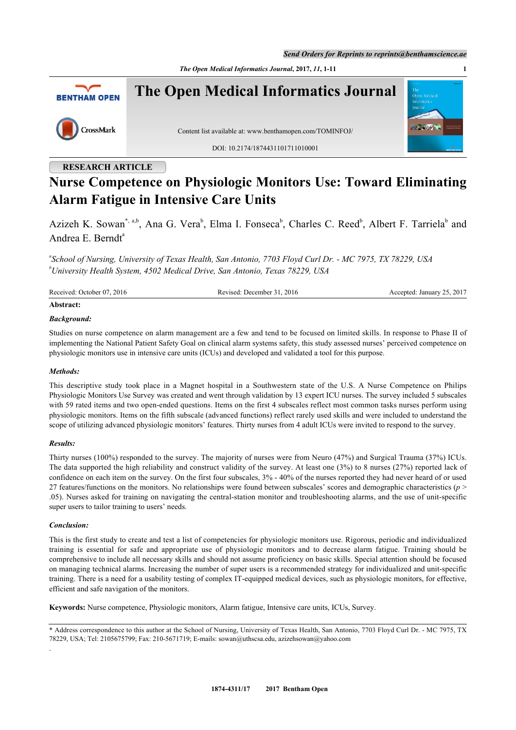*Send Orders for Reprints to reprints@benthamscience.ae*

*The Open Medical Informatics Journal***, 2017,** *11***, 1-11 1**



# **RESEARCH ARTICLE**

# **Nurse Competence on Physiologic Monitors Use: Toward Eliminating Alarm Fatigue in Intensive Care Units**

Azizeh K. Sowan<sup>[\\*,](#page-0-0) [a](#page-0-1),[b](#page-0-2)</sup>, Ana G. Vera<sup>b</sup>, Elma I. Fonseca<sup>b</sup>, Charles C. Reed<sup>b</sup>, Albert F. Tarriela<sup>b</sup> and Andre[a](#page-0-1) E. Berndt<sup>a</sup>

<span id="page-0-2"></span><span id="page-0-1"></span>*a School of Nursing, University of Texas Health, San Antonio, 7703 Floyd Curl Dr. - MC 7975, TX 78229, USA <sup>b</sup>University Health System, 4502 Medical Drive, San Antonio, Texas 78229, USA*

| Received: October 07, 2016 | 2016<br>evised:<br>∵ December 31. .<br>… | $201$ <sup>-</sup><br>January 25.<br>entea. |
|----------------------------|------------------------------------------|---------------------------------------------|
|                            |                                          |                                             |

# **Abstract:**

# *Background:*

Studies on nurse competence on alarm management are a few and tend to be focused on limited skills. In response to Phase II of implementing the National Patient Safety Goal on clinical alarm systems safety, this study assessed nurses' perceived competence on physiologic monitors use in intensive care units (ICUs) and developed and validated a tool for this purpose.

# *Methods:*

This descriptive study took place in a Magnet hospital in a Southwestern state of the U.S. A Nurse Competence on Philips Physiologic Monitors Use Survey was created and went through validation by 13 expert ICU nurses. The survey included 5 subscales with 59 rated items and two open-ended questions. Items on the first 4 subscales reflect most common tasks nurses perform using physiologic monitors. Items on the fifth subscale (advanced functions) reflect rarely used skills and were included to understand the scope of utilizing advanced physiologic monitors' features. Thirty nurses from 4 adult ICUs were invited to respond to the survey.

# *Results:*

Thirty nurses (100%) responded to the survey. The majority of nurses were from Neuro (47%) and Surgical Trauma (37%) ICUs. The data supported the high reliability and construct validity of the survey. At least one (3%) to 8 nurses (27%) reported lack of confidence on each item on the survey. On the first four subscales, 3% - 40% of the nurses reported they had never heard of or used 27 features/functions on the monitors. No relationships were found between subscales' scores and demographic characteristics (*p* > .05). Nurses asked for training on navigating the central-station monitor and troubleshooting alarms, and the use of unit-specific super users to tailor training to users' needs.

# *Conclusion:*

.

This is the first study to create and test a list of competencies for physiologic monitors use. Rigorous, periodic and individualized training is essential for safe and appropriate use of physiologic monitors and to decrease alarm fatigue. Training should be comprehensive to include all necessary skills and should not assume proficiency on basic skills. Special attention should be focused on managing technical alarms. Increasing the number of super users is a recommended strategy for individualized and unit-specific training. There is a need for a usability testing of complex IT-equipped medical devices, such as physiologic monitors, for effective, efficient and safe navigation of the monitors.

**Keywords:** Nurse competence, Physiologic monitors, Alarm fatigue, Intensive care units, ICUs, Survey.

<span id="page-0-0"></span>\* Address correspondence to this author at the School of [Nursing, University o](mailto:sowan@uthscsa.edu)[f Texas Health, San Anton](mailto:azizehsowan@yahoo.com)io, 7703 Floyd Curl Dr. - MC 7975, TX 78229, USA; Tel: 2105675799; Fax: 210-5671719; E-mails: sowan@uthscsa.edu, azizehsowan@yahoo.com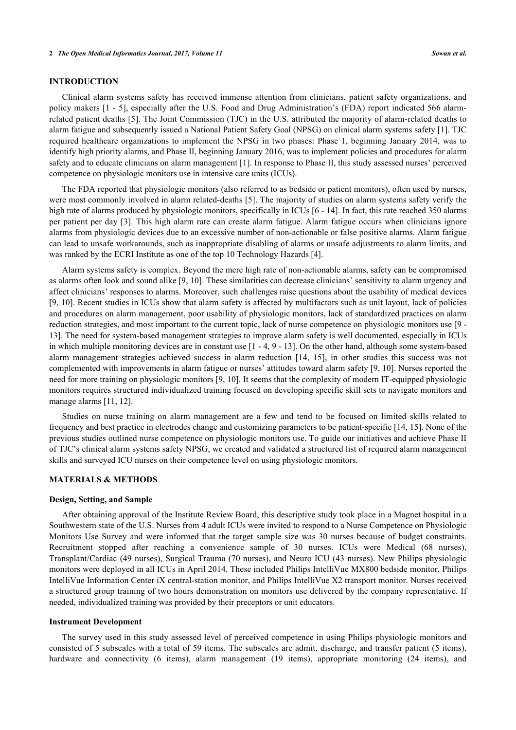# **INTRODUCTION**

Clinical alarm systems safety has received immense attention from clinicians, patient safety organizations, and policy makers [[1](#page-9-0) - [5](#page-9-1)], especially after the U.S. Food and Drug Administration's (FDA) report indicated 566 alarmrelated patient deaths [\[5](#page-9-1)]. The Joint Commission (TJC) in the U.S. attributed the majority of alarm-related deaths to alarm fatigue and subsequently issued a National Patient Safety Goal (NPSG) on clinical alarm systems safety [\[1](#page-9-0)]. TJC required healthcare organizations to implement the NPSG in two phases: Phase 1, beginning January 2014, was to identify high priority alarms, and Phase II, beginning January 2016, was to implement policies and procedures for alarm safety and to educate clinicians on alarm management [[1](#page-9-0)]. In response to Phase II, this study assessed nurses' perceived competence on physiologic monitors use in intensive care units (ICUs).

The FDA reported that physiologic monitors (also referred to as bedside or patient monitors), often used by nurses, were most commonly involved in alarm related-deaths [\[5](#page-9-1)]. The majority of studies on alarm systems safety verify the high rate of alarms produced by physiologic monitors, specifically in ICUs [\[6](#page-9-2) - [14\]](#page-9-3). In fact, this rate reached 350 alarms per patient per day [[3\]](#page-9-4). This high alarm rate can create alarm fatigue. Alarm fatigue occurs when clinicians ignore alarms from physiologic devices due to an excessive number of non-actionable or false positive alarms. Alarm fatigue can lead to unsafe workarounds, such as inappropriate disabling of alarms or unsafe adjustments to alarm limits, and was ranked by the ECRI Institute as one of the top 10 Technology Hazards [\[4](#page-9-5)].

Alarm systems safety is complex. Beyond the mere high rate of non-actionable alarms, safety can be compromised as alarms often look and sound alike [\[9](#page-9-6), [10\]](#page-9-7). These similarities can decrease clinicians' sensitivity to alarm urgency and affect clinicians' responses to alarms. Moreover, such challenges raise questions about the usability of medical devices [\[9](#page-9-6), [10\]](#page-9-7). Recent studies in ICUs show that alarm safety is affected by multifactors such as unit layout, lack of policies and procedures on alarm management, poor usability of physiologic monitors, lack of standardized practices on alarm reduction strategies, and most important to the current topic, lack of nurse competence on physiologic monitors use [[9](#page-9-6) - [13\]](#page-9-8). The need for system-based management strategies to improve alarm safety is well documented, especially in ICUs in which multiple monitoring devices are in constant use [\[1](#page-9-0) - [4,](#page-9-5) [9](#page-9-6) - [13](#page-9-8)]. On the other hand, although some system-based alarm management strategies achieved success in alarm reduction [\[14,](#page-9-3) [15\]](#page-10-0), in other studies this success was not complemented with improvements in alarm fatigue or nurses' attitudes toward alarm safety [[9,](#page-9-6) [10](#page-9-7)]. Nurses reported the need for more training on physiologic monitors [\[9](#page-9-6), [10](#page-9-7)]. It seems that the complexity of modern IT-equipped physiologic monitors requires structured individualized training focused on developing specific skill sets to navigate monitors and manage alarms [[11,](#page-9-9) [12\]](#page-9-10).

Studies on nurse training on alarm management are a few and tend to be focused on limited skills related to frequency and best practice in electrodes change and customizing parameters to be patient-specific [[14,](#page-9-3) [15\]](#page-10-0). None of the previous studies outlined nurse competence on physiologic monitors use. To guide our initiatives and achieve Phase II of TJC's clinical alarm systems safety NPSG, we created and validated a structured list of required alarm management skills and surveyed ICU nurses on their competence level on using physiologic monitors.

# **MATERIALS & METHODS**

#### **Design, Setting, and Sample**

After obtaining approval of the Institute Review Board, this descriptive study took place in a Magnet hospital in a Southwestern state of the U.S. Nurses from 4 adult ICUs were invited to respond to a Nurse Competence on Physiologic Monitors Use Survey and were informed that the target sample size was 30 nurses because of budget constraints. Recruitment stopped after reaching a convenience sample of 30 nurses. ICUs were Medical (68 nurses), Transplant/Cardiac (49 nurses), Surgical Trauma (70 nurses), and Neuro ICU (43 nurses). New Philips physiologic monitors were deployed in all ICUs in April 2014. These included Philips IntelliVue MX800 bedside monitor, Philips IntelliVue Information Center iX central-station monitor, and Philips IntelliVue X2 transport monitor. Nurses received a structured group training of two hours demonstration on monitors use delivered by the company representative. If needed, individualized training was provided by their preceptors or unit educators.

#### **Instrument Development**

The survey used in this study assessed level of perceived competence in using Philips physiologic monitors and consisted of 5 subscales with a total of 59 items. The subscales are admit, discharge, and transfer patient (5 items), hardware and connectivity (6 items), alarm management (19 items), appropriate monitoring (24 items), and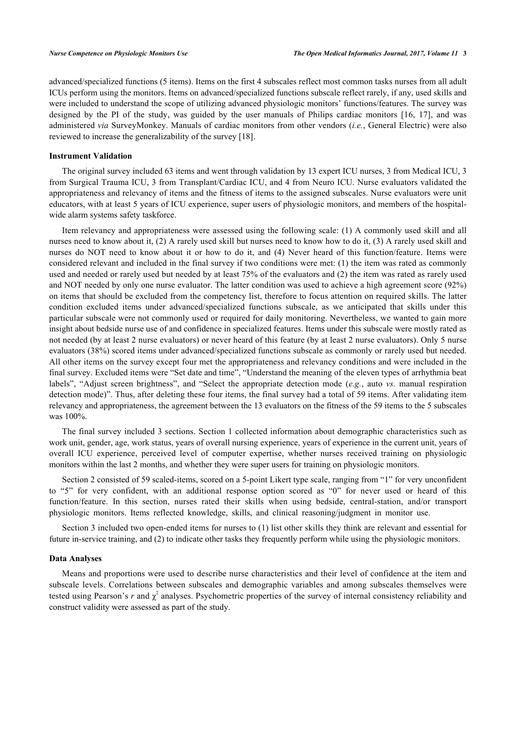advanced/specialized functions (5 items). Items on the first 4 subscales reflect most common tasks nurses from all adult ICUs perform using the monitors. Items on advanced/specialized functions subscale reflect rarely, if any, used skills and were included to understand the scope of utilizing advanced physiologic monitors' functions/features. The survey was designed by the PI of the study, was guided by the user manuals of Philips cardiac monitors [\[16,](#page-10-1) [17\]](#page-10-2), and was administered *via* SurveyMonkey. Manuals of cardiac monitors from other vendors (*i.e.*, General Electric) were also reviewed to increase the generalizability of the survey [[18\]](#page-10-3).

### **Instrument Validation**

The original survey included 63 items and went through validation by 13 expert ICU nurses, 3 from Medical ICU, 3 from Surgical Trauma ICU, 3 from Transplant/Cardiac ICU, and 4 from Neuro ICU. Nurse evaluators validated the appropriateness and relevancy of items and the fitness of items to the assigned subscales. Nurse evaluators were unit educators, with at least 5 years of ICU experience, super users of physiologic monitors, and members of the hospitalwide alarm systems safety taskforce.

Item relevancy and appropriateness were assessed using the following scale: (1) A commonly used skill and all nurses need to know about it, (2) A rarely used skill but nurses need to know how to do it, (3) A rarely used skill and nurses do NOT need to know about it or how to do it, and (4) Never heard of this function/feature. Items were considered relevant and included in the final survey if two conditions were met: (1) the item was rated as commonly used and needed or rarely used but needed by at least 75% of the evaluators and (2) the item was rated as rarely used and NOT needed by only one nurse evaluator. The latter condition was used to achieve a high agreement score (92%) on items that should be excluded from the competency list, therefore to focus attention on required skills. The latter condition excluded items under advanced/specialized functions subscale, as we anticipated that skills under this particular subscale were not commonly used or required for daily monitoring. Nevertheless, we wanted to gain more insight about bedside nurse use of and confidence in specialized features. Items under this subscale were mostly rated as not needed (by at least 2 nurse evaluators) or never heard of this feature (by at least 2 nurse evaluators). Only 5 nurse evaluators (38%) scored items under advanced/specialized functions subscale as commonly or rarely used but needed. All other items on the survey except four met the appropriateness and relevancy conditions and were included in the final survey. Excluded items were "Set date and time", "Understand the meaning of the eleven types of arrhythmia beat labels", "Adjust screen brightness", and "Select the appropriate detection mode (*e.g.*, auto *vs.* manual respiration detection mode)". Thus, after deleting these four items, the final survey had a total of 59 items. After validating item relevancy and appropriateness, the agreement between the 13 evaluators on the fitness of the 59 items to the 5 subscales was 100%.

The final survey included 3 sections. Section 1 collected information about demographic characteristics such as work unit, gender, age, work status, years of overall nursing experience, years of experience in the current unit, years of overall ICU experience, perceived level of computer expertise, whether nurses received training on physiologic monitors within the last 2 months, and whether they were super users for training on physiologic monitors.

Section 2 consisted of 59 scaled-items, scored on a 5-point Likert type scale, ranging from "1" for very unconfident to "5" for very confident, with an additional response option scored as "0" for never used or heard of this function/feature. In this section, nurses rated their skills when using bedside, central-station, and/or transport physiologic monitors. Items reflected knowledge, skills, and clinical reasoning/judgment in monitor use.

Section 3 included two open-ended items for nurses to (1) list other skills they think are relevant and essential for future in-service training, and (2) to indicate other tasks they frequently perform while using the physiologic monitors.

#### **Data Analyses**

Means and proportions were used to describe nurse characteristics and their level of confidence at the item and subscale levels. Correlations between subscales and demographic variables and among subscales themselves were tested using Pearson's  $r$  and  $\chi^2$  analyses. Psychometric properties of the survey of internal consistency reliability and construct validity were assessed as part of the study.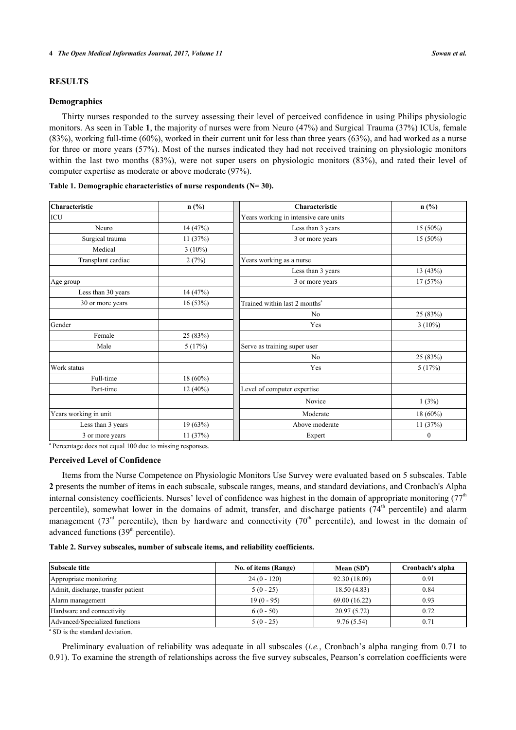# **RESULTS**

# **Demographics**

Thirty nurses responded to the survey assessing their level of perceived confidence in using Philips physiologic monitors. As seen in Table **[1](#page-3-0)**, the majority of nurses were from Neuro (47%) and Surgical Trauma (37%) ICUs, female (83%), working full-time (60%), worked in their current unit for less than three years (63%), and had worked as a nurse for three or more years (57%). Most of the nurses indicated they had not received training on physiologic monitors within the last two months (83%), were not super users on physiologic monitors (83%), and rated their level of computer expertise as moderate or above moderate (97%).

| Characteristic        | $n$ (%)    | Characteristic                            | n(%)         |
|-----------------------|------------|-------------------------------------------|--------------|
| ICU                   |            | Years working in intensive care units     |              |
| Neuro                 | 14(47%)    | Less than 3 years                         | $15(50\%)$   |
| Surgical trauma       | 11(37%)    | 3 or more years                           | 15 (50%)     |
| Medical               | $3(10\%)$  |                                           |              |
| Transplant cardiac    | 2(7%)      | Years working as a nurse                  |              |
|                       |            | Less than 3 years                         | 13 (43%)     |
| Age group             |            | 3 or more years                           | 17(57%)      |
| Less than 30 years    | 14 (47%)   |                                           |              |
| 30 or more years      | 16(53%)    | Trained within last 2 months <sup>a</sup> |              |
|                       |            | N <sub>0</sub>                            | 25 (83%)     |
| Gender                |            | Yes                                       | $3(10\%)$    |
| Female                | 25 (83%)   |                                           |              |
| Male                  | 5(17%)     | Serve as training super user              |              |
|                       |            | N <sub>0</sub>                            | 25(83%)      |
| Work status           |            | Yes                                       | 5(17%)       |
| Full-time             | $18(60\%)$ |                                           |              |
| Part-time             | $12(40\%)$ | Level of computer expertise               |              |
|                       |            | Novice                                    | 1(3%)        |
| Years working in unit |            | Moderate                                  | 18 (60%)     |
| Less than 3 years     | 19(63%)    | Above moderate                            | 11 (37%)     |
| 3 or more years       | 11(37%)    | Expert                                    | $\mathbf{0}$ |

<span id="page-3-0"></span>**Table 1. Demographic characteristics of nurse respondents (N= 30).**

a Percentage does not equal 100 due to missing responses.

# **Perceived Level of Confidence**

Items from the Nurse Competence on Physiologic Monitors Use Survey were evaluated based on 5 subscales. Table **[2](#page-3-1)** presents the number of items in each subscale, subscale ranges, means, and standard deviations, and Cronbach's Alpha internal consistency coefficients. Nurses' level of confidence was highest in the domain of appropriate monitoring  $(77<sup>th</sup>)$ percentile), somewhat lower in the domains of admit, transfer, and discharge patients  $(74<sup>th</sup>$  percentile) and alarm management (73<sup>rd</sup> percentile), then by hardware and connectivity (70<sup>th</sup> percentile), and lowest in the domain of advanced functions  $(39<sup>th</sup>$  percentile).

### <span id="page-3-1"></span>**Table 2. Survey subscales, number of subscale items, and reliability coefficients.**

| Subscale title                     | No. of items (Range) | Mean $(SD^2)$ | Cronbach's alpha |
|------------------------------------|----------------------|---------------|------------------|
| Appropriate monitoring             | $24(0 - 120)$        | 92.30 (18.09) | 0.91             |
| Admit, discharge, transfer patient | $5(0-25)$            | 18.50(4.83)   | 0.84             |
| Alarm management                   | $19(0 - 95)$         | 69.00 (16.22) | 0.93             |
| Hardware and connectivity          | $6(0 - 50)$          | 20.97(5.72)   | 0.72             |
| Advanced/Specialized functions     | $5(0-25)$            | 9.76(5.54)    | 0.71             |

a SD is the standard deviation.

Preliminary evaluation of reliability was adequate in all subscales (*i.e.*, Cronbach's alpha ranging from 0.71 to 0.91). To examine the strength of relationships across the five survey subscales, Pearson's correlation coefficients were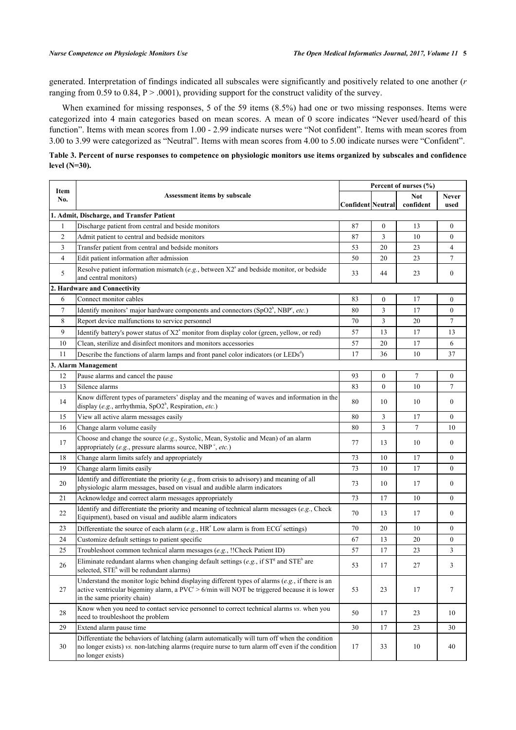generated. Interpretation of findings indicated all subscales were significantly and positively related to one another (*r* ranging from 0.59 to 0.84,  $P > .0001$ ), providing support for the construct validity of the survey.

When examined for missing responses, 5 of the 59 items (8.5%) had one or two missing responses. Items were categorized into 4 main categories based on mean scores. A mean of 0 score indicates "Never used/heard of this function". Items with mean scores from 1.00 - 2.99 indicate nurses were "Not confident". Items with mean scores from 3.00 to 3.99 were categorized as "Neutral". Items with mean scores from 4.00 to 5.00 indicate nurses were "Confident".

<span id="page-4-0"></span>

| Table 3. Percent of nurse responses to competence on physiologic monitors use items organized by subscales and confidence |  |  |  |
|---------------------------------------------------------------------------------------------------------------------------|--|--|--|
| level $(N=30)$ .                                                                                                          |  |  |  |

|                |                                                                                                                                                                                                                                            | Percent of nurses (%) |                          |                         |                  |
|----------------|--------------------------------------------------------------------------------------------------------------------------------------------------------------------------------------------------------------------------------------------|-----------------------|--------------------------|-------------------------|------------------|
| Item<br>No.    | Assessment items by subscale                                                                                                                                                                                                               |                       | <b>Confident Neutral</b> | <b>Not</b><br>confident | Never<br>used    |
|                | 1. Admit, Discharge, and Transfer Patient                                                                                                                                                                                                  |                       |                          |                         |                  |
| 1              | Discharge patient from central and beside monitors                                                                                                                                                                                         | 87                    | $\overline{0}$           | 13                      | $\mathbf{0}$     |
| $\overline{2}$ | Admit patient to central and bedside monitors                                                                                                                                                                                              | 87                    | 3                        | 10                      | $\mathbf{0}$     |
| 3              | Transfer patient from central and bedside monitors                                                                                                                                                                                         | 53                    | 20                       | 23                      | 4                |
| $\overline{4}$ | Edit patient information after admission                                                                                                                                                                                                   | 50                    | 20                       | 23                      | $\overline{7}$   |
| 5              | Resolve patient information mismatch (e.g., between $X2^a$ and bedside monitor, or bedside<br>and central monitors)                                                                                                                        | 33                    | 44                       | 23                      | $\boldsymbol{0}$ |
| 2.             | Hardware and Connectivity                                                                                                                                                                                                                  |                       |                          |                         |                  |
| 6              | Connect monitor cables                                                                                                                                                                                                                     | 83                    | $\overline{0}$           | 17                      | $\mathbf{0}$     |
| $\overline{7}$ | Identify monitors' major hardware components and connectors (SpO2 <sup>b</sup> , NBP <sup>c</sup> , etc.)                                                                                                                                  | 80                    | 3                        | 17                      | $\mathbf{0}$     |
| 8              | Report device malfunctions to service personnel                                                                                                                                                                                            | 70                    | 3                        | 20                      | 7                |
| 9              | Identify battery's power status of X2 <sup>ª</sup> monitor from display color (green, yellow, or red)                                                                                                                                      | 57                    | 13                       | 17                      | 13               |
| 10             | Clean, sterilize and disinfect monitors and monitors accessories                                                                                                                                                                           | 57                    | 20                       | 17                      | 6                |
| 11             | Describe the functions of alarm lamps and front panel color indicators (or LEDs <sup>4</sup> )                                                                                                                                             | 17                    | 36                       | 10                      | 37               |
|                | 3. Alarm Management                                                                                                                                                                                                                        |                       |                          |                         |                  |
| 12             | Pause alarms and cancel the pause                                                                                                                                                                                                          | 93                    | $\overline{0}$           | $\overline{7}$          | 0                |
| 13             | Silence alarms                                                                                                                                                                                                                             | 83                    | $\overline{0}$           | 10                      | $\tau$           |
| 14             | Know different types of parameters' display and the meaning of waves and information in the<br>display (e.g., arrhythmia, SpO2 <sup>b</sup> , Respiration, etc.)                                                                           | 80                    | 10                       | 10                      | $\boldsymbol{0}$ |
| 15             | View all active alarm messages easily                                                                                                                                                                                                      | 80                    | 3                        | 17                      | $\mathbf{0}$     |
| 16             | Change alarm volume easily                                                                                                                                                                                                                 | 80                    | 3                        | $\overline{7}$          | 10               |
| 17             | Choose and change the source (e.g., Systolic, Mean, Systolic and Mean) of an alarm<br>appropriately (e.g., pressure alarms source, NBP $\degree$ , etc.)                                                                                   | 77                    | 13                       | 10                      | $\mathbf{0}$     |
| 18             | Change alarm limits safely and appropriately                                                                                                                                                                                               | 73                    | 10                       | 17                      | $\mathbf{0}$     |
| 19             | Change alarm limits easily                                                                                                                                                                                                                 | 73                    | 10                       | 17                      | $\mathbf{0}$     |
| 20             | Identify and differentiate the priority (e.g., from crisis to advisory) and meaning of all<br>physiologic alarm messages, based on visual and audible alarm indicators                                                                     | 73                    | 10                       | 17                      | $\boldsymbol{0}$ |
| 21             | Acknowledge and correct alarm messages appropriately                                                                                                                                                                                       | 73                    | 17                       | 10                      | $\boldsymbol{0}$ |
| 22             | Identify and differentiate the priority and meaning of technical alarm messages (e.g., Check<br>Equipment), based on visual and audible alarm indicators                                                                                   | 70                    | 13                       | 17                      | $\mathbf{0}$     |
| 23             | Differentiate the source of each alarm (e.g., $HR^e$ Low alarm is from ECG <sup>f</sup> settings)                                                                                                                                          | 70                    | 20                       | 10                      | $\mathbf{0}$     |
| 24             | Customize default settings to patient specific                                                                                                                                                                                             | 67                    | 13                       | 20                      | $\boldsymbol{0}$ |
| 25             | Troubleshoot common technical alarm messages (e.g., !!Check Patient ID)                                                                                                                                                                    | 57                    | 17                       | 23                      | 3                |
| 26             | Eliminate redundant alarms when changing default settings (e.g., if $ST^8$ and $STE^h$ are<br>selected, STE <sup>h</sup> will be redundant alarms)                                                                                         | 53                    | 17                       | 27                      | 3                |
| 27             | Understand the monitor logic behind displaying different types of alarms $(e.g.,$ if there is an<br>active ventricular bigeminy alarm, a $PVC^{\dagger} > 6$ /min will NOT be triggered because it is lower<br>in the same priority chain) | 53                    | 23                       | 17                      | 7                |
| 28             | Know when you need to contact service personnel to correct technical alarms vs. when you<br>need to troubleshoot the problem                                                                                                               | 50                    | 17                       | 23                      | 10               |
| 29             | Extend alarm pause time                                                                                                                                                                                                                    | 30                    | 17                       | 23                      | 30               |
| 30             | Differentiate the behaviors of latching (alarm automatically will turn off when the condition<br>no longer exists) vs. non-latching alarms (require nurse to turn alarm off even if the condition<br>no longer exists)                     | 17                    | 33                       | 10                      | 40               |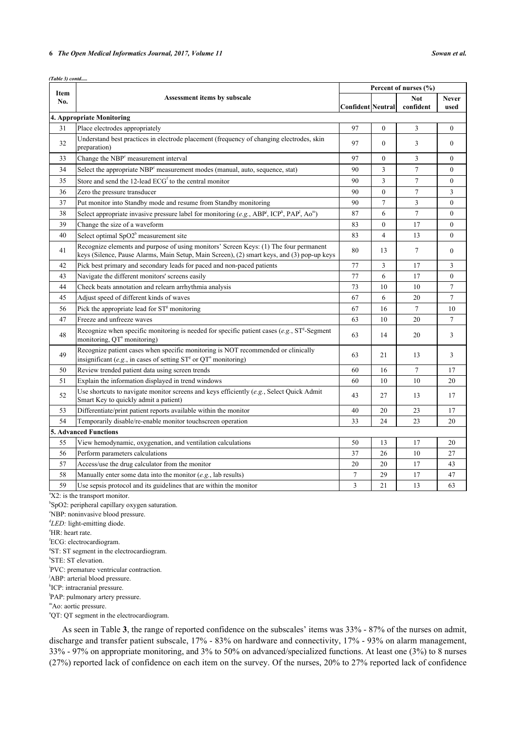*(Table 3) contd.....*

|                       |                                                                                                                                                                                     | Percent of nurses (%) |                   |                 |                |
|-----------------------|-------------------------------------------------------------------------------------------------------------------------------------------------------------------------------------|-----------------------|-------------------|-----------------|----------------|
|                       | Item<br><b>Assessment items by subscale</b><br>No.                                                                                                                                  |                       |                   | <b>Not</b>      | Never          |
|                       |                                                                                                                                                                                     |                       | Confident Neutral | confident       | used           |
|                       | 4. Appropriate Monitoring                                                                                                                                                           |                       |                   |                 |                |
| 31                    | Place electrodes appropriately                                                                                                                                                      | 97                    | $\Omega$          | 3               | $\theta$       |
| 32                    | Understand best practices in electrode placement (frequency of changing electrodes, skin<br>preparation)                                                                            | 97                    | $\theta$          | 3               | $\theta$       |
| 33                    | Change the NBP <sup>c</sup> measurement interval                                                                                                                                    | 97                    | $\mathbf{0}$      | 3               | $\overline{0}$ |
| 34                    | Select the appropriate $NBPc$ measurement modes (manual, auto, sequence, stat)                                                                                                      | 90                    | 3                 | $\overline{7}$  | $\theta$       |
| 35                    | Store and send the 12-lead ECG <sup>f</sup> to the central monitor                                                                                                                  | 90                    | 3                 | $\tau$          | $\overline{0}$ |
| 36                    | Zero the pressure transducer                                                                                                                                                        | 90                    | $\boldsymbol{0}$  | $7\phantom{.0}$ | 3              |
| 37                    | Put monitor into Standby mode and resume from Standby monitoring                                                                                                                    | 90                    | 7                 | 3               | $\mathbf{0}$   |
| 38                    | Select appropriate invasive pressure label for monitoring (e.g., ABP <sup>i</sup> , ICP <sup>k</sup> , PAP <sup>1</sup> , Ao <sup>m</sup> )                                         | 87                    | 6                 | $\tau$          | $\mathbf{0}$   |
| 39                    | Change the size of a waveform                                                                                                                                                       | 83                    | $\overline{0}$    | 17              | $\overline{0}$ |
| 40                    | Select optimal $SpO2^b$ measurement site                                                                                                                                            | 83                    | 4                 | 13              | $\theta$       |
| 41                    | Recognize elements and purpose of using monitors' Screen Keys: (1) The four permanent<br>keys (Silence, Pause Alarms, Main Setup, Main Screen), (2) smart keys, and (3) pop-up keys | 80                    | 13                | $\tau$          | $\theta$       |
| 42                    | Pick best primary and secondary leads for paced and non-paced patients                                                                                                              | 77                    | 3                 | 17              | 3              |
| 43                    | Navigate the different monitors' screens easily                                                                                                                                     | 77                    | 6                 | 17              | $\overline{0}$ |
| 44                    | Check beats annotation and relearn arrhythmia analysis                                                                                                                              | 73                    | 10                | 10              | $\tau$         |
| 45                    | Adjust speed of different kinds of waves                                                                                                                                            | 67                    | 6                 | 20              | $\overline{7}$ |
| 56                    | Pick the appropriate lead for ST <sup>®</sup> monitoring                                                                                                                            | 67                    | 16                | $\tau$          | 10             |
| 47                    | Freeze and unfreeze waves                                                                                                                                                           | 63                    | 10                | 20              | $\overline{7}$ |
| 48                    | Recognize when specific monitoring is needed for specific patient cases (e.g., $ST^8$ -Segment<br>monitoring, QT <sup>n</sup> monitoring)                                           | 63                    | 14                | 20              | 3              |
| 49                    | Recognize patient cases when specific monitoring is NOT recommended or clinically<br>insignificant (e.g., in cases of setting $ST^8$ or $QT^n$ monitoring)                          | 63                    | 21                | 13              | 3              |
| 50                    | Review trended patient data using screen trends                                                                                                                                     | 60                    | 16                | $\tau$          | 17             |
| 51                    | Explain the information displayed in trend windows                                                                                                                                  | 60                    | 10                | 10              | 20             |
| 52                    | Use shortcuts to navigate monitor screens and keys efficiently (e.g., Select Quick Admit<br>Smart Key to quickly admit a patient)                                                   | 43                    | 27                | 13              | 17             |
| 53                    | Differentiate/print patient reports available within the monitor                                                                                                                    | 40                    | 20                | 23              | 17             |
| 54                    | Temporarily disable/re-enable monitor touchscreen operation                                                                                                                         | 33                    | 24                | 23              | 20             |
| 5. Advanced Functions |                                                                                                                                                                                     |                       |                   |                 |                |
| 55                    | View hemodynamic, oxygenation, and ventilation calculations                                                                                                                         | 50                    | 13                | 17              | 20             |
| 56                    | Perform parameters calculations                                                                                                                                                     | 37                    | 26                | 10              | 27             |
| 57                    | Access/use the drug calculator from the monitor                                                                                                                                     | 20                    | 20                | 17              | 43             |
| 58                    | Manually enter some data into the monitor (e.g., lab results)                                                                                                                       | 7                     | 29                | 17              | 47             |
| 59                    | Use sepsis protocol and its guidelines that are within the monitor                                                                                                                  | 3                     | 21                | 13              | 63             |

 $\sqrt[3]{2}$ : is the transport monitor.

b SpO2: peripheral capillary oxygen saturation.

<sup>c</sup>NBP: noninvasive blood pressure.

<sup>d</sup>LED: light-emitting diode.

<sup>e</sup>HR: heart rate.

f ECG: electrocardiogram.

<sup>8</sup>ST: ST segment in the electrocardiogram.

i PVC: premature ventricular contraction.

<sup>j</sup>ABP: arterial blood pressure.

k ICP: intracranial pressure.

PAP: pulmonary artery pressure.

<sup>m</sup>Ao: aortic pressure.

<sup>n</sup>QT: QT segment in the electrocardiogram.

As seen in Table **[3](#page-4-0)**, the range of reported confidence on the subscales' items was 33% - 87% of the nurses on admit, discharge and transfer patient subscale, 17% - 83% on hardware and connectivity, 17% - 93% on alarm management, 33% - 97% on appropriate monitoring, and 3% to 50% on advanced/specialized functions. At least one (3%) to 8 nurses (27%) reported lack of confidence on each item on the survey. Of the nurses, 20% to 27% reported lack of confidence

h STE: ST elevation.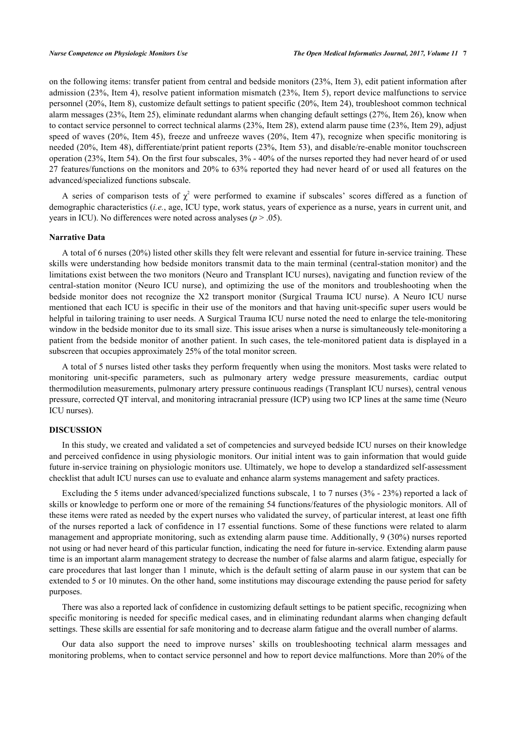on the following items: transfer patient from central and bedside monitors (23%, Item 3), edit patient information after admission (23%, Item 4), resolve patient information mismatch (23%, Item 5), report device malfunctions to service personnel (20%, Item 8), customize default settings to patient specific (20%, Item 24), troubleshoot common technical alarm messages (23%, Item 25), eliminate redundant alarms when changing default settings (27%, Item 26), know when to contact service personnel to correct technical alarms (23%, Item 28), extend alarm pause time (23%, Item 29), adjust speed of waves (20%, Item 45), freeze and unfreeze waves (20%, Item 47), recognize when specific monitoring is needed (20%, Item 48), differentiate/print patient reports (23%, Item 53), and disable/re-enable monitor touchscreen operation (23%, Item 54). On the first four subscales, 3% - 40% of the nurses reported they had never heard of or used 27 features/functions on the monitors and 20% to 63% reported they had never heard of or used all features on the advanced/specialized functions subscale.

A series of comparison tests of  $\chi^2$  were performed to examine if subscales' scores differed as a function of demographic characteristics (*i.e.*, age, ICU type, work status, years of experience as a nurse, years in current unit, and years in ICU). No differences were noted across analyses  $(p > .05)$ .

#### **Narrative Data**

A total of 6 nurses (20%) listed other skills they felt were relevant and essential for future in-service training. These skills were understanding how bedside monitors transmit data to the main terminal (central-station monitor) and the limitations exist between the two monitors (Neuro and Transplant ICU nurses), navigating and function review of the central-station monitor (Neuro ICU nurse), and optimizing the use of the monitors and troubleshooting when the bedside monitor does not recognize the X2 transport monitor (Surgical Trauma ICU nurse). A Neuro ICU nurse mentioned that each ICU is specific in their use of the monitors and that having unit-specific super users would be helpful in tailoring training to user needs. A Surgical Trauma ICU nurse noted the need to enlarge the tele-monitoring window in the bedside monitor due to its small size. This issue arises when a nurse is simultaneously tele-monitoring a patient from the bedside monitor of another patient. In such cases, the tele-monitored patient data is displayed in a subscreen that occupies approximately 25% of the total monitor screen.

A total of 5 nurses listed other tasks they perform frequently when using the monitors. Most tasks were related to monitoring unit-specific parameters, such as pulmonary artery wedge pressure measurements, cardiac output thermodilution measurements, pulmonary artery pressure continuous readings (Transplant ICU nurses), central venous pressure, corrected QT interval, and monitoring intracranial pressure (ICP) using two ICP lines at the same time (Neuro ICU nurses).

### **DISCUSSION**

In this study, we created and validated a set of competencies and surveyed bedside ICU nurses on their knowledge and perceived confidence in using physiologic monitors. Our initial intent was to gain information that would guide future in-service training on physiologic monitors use. Ultimately, we hope to develop a standardized self-assessment checklist that adult ICU nurses can use to evaluate and enhance alarm systems management and safety practices.

Excluding the 5 items under advanced/specialized functions subscale, 1 to 7 nurses (3% - 23%) reported a lack of skills or knowledge to perform one or more of the remaining 54 functions/features of the physiologic monitors. All of these items were rated as needed by the expert nurses who validated the survey, of particular interest, at least one fifth of the nurses reported a lack of confidence in 17 essential functions. Some of these functions were related to alarm management and appropriate monitoring, such as extending alarm pause time. Additionally, 9 (30%) nurses reported not using or had never heard of this particular function, indicating the need for future in-service. Extending alarm pause time is an important alarm management strategy to decrease the number of false alarms and alarm fatigue, especially for care procedures that last longer than 1 minute, which is the default setting of alarm pause in our system that can be extended to 5 or 10 minutes. On the other hand, some institutions may discourage extending the pause period for safety purposes.

There was also a reported lack of confidence in customizing default settings to be patient specific, recognizing when specific monitoring is needed for specific medical cases, and in eliminating redundant alarms when changing default settings. These skills are essential for safe monitoring and to decrease alarm fatigue and the overall number of alarms.

Our data also support the need to improve nurses' skills on troubleshooting technical alarm messages and monitoring problems, when to contact service personnel and how to report device malfunctions. More than 20% of the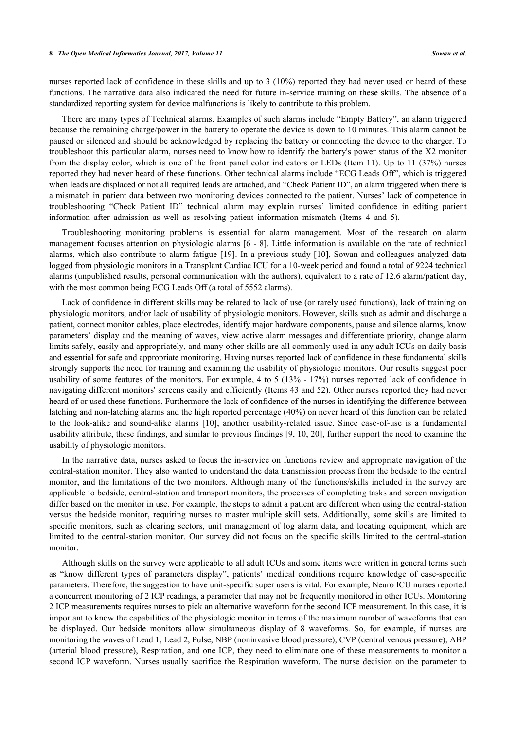nurses reported lack of confidence in these skills and up to 3 (10%) reported they had never used or heard of these functions. The narrative data also indicated the need for future in-service training on these skills. The absence of a standardized reporting system for device malfunctions is likely to contribute to this problem.

There are many types of Technical alarms. Examples of such alarms include "Empty Battery", an alarm triggered because the remaining charge/power in the battery to operate the device is down to 10 minutes. This alarm cannot be paused or silenced and should be acknowledged by replacing the battery or connecting the device to the charger. To troubleshoot this particular alarm, nurses need to know how to identify the battery's power status of the X2 monitor from the display color, which is one of the front panel color indicators or LEDs (Item 11). Up to 11 (37%) nurses reported they had never heard of these functions. Other technical alarms include "ECG Leads Off", which is triggered when leads are displaced or not all required leads are attached, and "Check Patient ID", an alarm triggered when there is a mismatch in patient data between two monitoring devices connected to the patient. Nurses' lack of competence in troubleshooting "Check Patient ID" technical alarm may explain nurses' limited confidence in editing patient information after admission as well as resolving patient information mismatch (Items 4 and 5).

Troubleshooting monitoring problems is essential for alarm management. Most of the research on alarm management focuses attention on physiologic alarms [[6](#page-9-2) - [8](#page-9-11)]. Little information is available on the rate of technical alarms, which also contribute to alarm fatigue [[19\]](#page-10-4). In a previous study [[10\]](#page-9-7), Sowan and colleagues analyzed data logged from physiologic monitors in a Transplant Cardiac ICU for a 10-week period and found a total of 9224 technical alarms (unpublished results, personal communication with the authors), equivalent to a rate of 12.6 alarm/patient day, with the most common being ECG Leads Off (a total of 5552 alarms).

Lack of confidence in different skills may be related to lack of use (or rarely used functions), lack of training on physiologic monitors, and/or lack of usability of physiologic monitors. However, skills such as admit and discharge a patient, connect monitor cables, place electrodes, identify major hardware components, pause and silence alarms, know parameters' display and the meaning of waves, view active alarm messages and differentiate priority, change alarm limits safely, easily and appropriately, and many other skills are all commonly used in any adult ICUs on daily basis and essential for safe and appropriate monitoring. Having nurses reported lack of confidence in these fundamental skills strongly supports the need for training and examining the usability of physiologic monitors. Our results suggest poor usability of some features of the monitors. For example, 4 to 5 (13% - 17%) nurses reported lack of confidence in navigating different monitors' screens easily and efficiently (Items 43 and 52). Other nurses reported they had never heard of or used these functions. Furthermore the lack of confidence of the nurses in identifying the difference between latching and non-latching alarms and the high reported percentage (40%) on never heard of this function can be related to the look-alike and sound-alike alarms[[10](#page-9-7)], another usability-related issue. Since ease-of-use is a fundamental usability attribute, these findings, and similar to previous findings [[9,](#page-9-6) [10](#page-9-7), [20\]](#page-10-5), further support the need to examine the usability of physiologic monitors.

In the narrative data, nurses asked to focus the in-service on functions review and appropriate navigation of the central-station monitor. They also wanted to understand the data transmission process from the bedside to the central monitor, and the limitations of the two monitors. Although many of the functions/skills included in the survey are applicable to bedside, central-station and transport monitors, the processes of completing tasks and screen navigation differ based on the monitor in use. For example, the steps to admit a patient are different when using the central-station versus the bedside monitor, requiring nurses to master multiple skill sets. Additionally, some skills are limited to specific monitors, such as clearing sectors, unit management of log alarm data, and locating equipment, which are limited to the central-station monitor. Our survey did not focus on the specific skills limited to the central-station monitor.

Although skills on the survey were applicable to all adult ICUs and some items were written in general terms such as "know different types of parameters display", patients' medical conditions require knowledge of case-specific parameters. Therefore, the suggestion to have unit-specific super users is vital. For example, Neuro ICU nurses reported a concurrent monitoring of 2 ICP readings, a parameter that may not be frequently monitored in other ICUs. Monitoring 2 ICP measurements requires nurses to pick an alternative waveform for the second ICP measurement. In this case, it is important to know the capabilities of the physiologic monitor in terms of the maximum number of waveforms that can be displayed. Our bedside monitors allow simultaneous display of 8 waveforms. So, for example, if nurses are monitoring the waves of Lead 1, Lead 2, Pulse, NBP (noninvasive blood pressure), CVP (central venous pressure), ABP (arterial blood pressure), Respiration, and one ICP, they need to eliminate one of these measurements to monitor a second ICP waveform. Nurses usually sacrifice the Respiration waveform. The nurse decision on the parameter to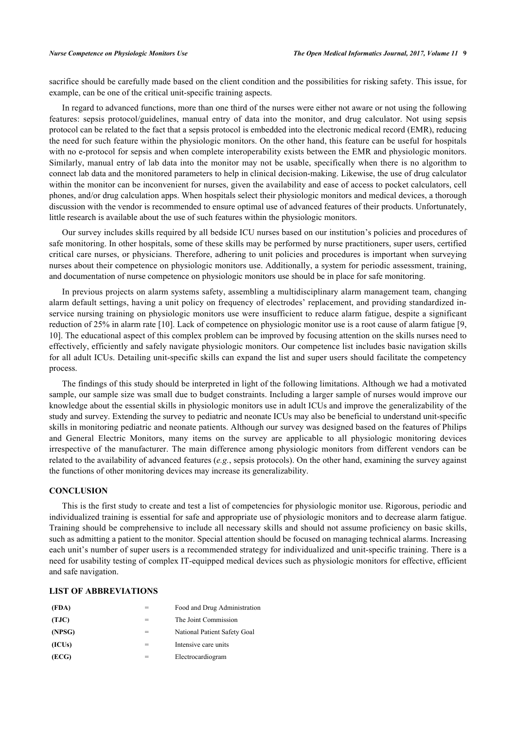sacrifice should be carefully made based on the client condition and the possibilities for risking safety. This issue, for example, can be one of the critical unit-specific training aspects.

In regard to advanced functions, more than one third of the nurses were either not aware or not using the following features: sepsis protocol/guidelines, manual entry of data into the monitor, and drug calculator. Not using sepsis protocol can be related to the fact that a sepsis protocol is embedded into the electronic medical record (EMR), reducing the need for such feature within the physiologic monitors. On the other hand, this feature can be useful for hospitals with no e-protocol for sepsis and when complete interoperability exists between the EMR and physiologic monitors. Similarly, manual entry of lab data into the monitor may not be usable, specifically when there is no algorithm to connect lab data and the monitored parameters to help in clinical decision-making. Likewise, the use of drug calculator within the monitor can be inconvenient for nurses, given the availability and ease of access to pocket calculators, cell phones, and/or drug calculation apps. When hospitals select their physiologic monitors and medical devices, a thorough discussion with the vendor is recommended to ensure optimal use of advanced features of their products. Unfortunately, little research is available about the use of such features within the physiologic monitors.

Our survey includes skills required by all bedside ICU nurses based on our institution's policies and procedures of safe monitoring. In other hospitals, some of these skills may be performed by nurse practitioners, super users, certified critical care nurses, or physicians. Therefore, adhering to unit policies and procedures is important when surveying nurses about their competence on physiologic monitors use. Additionally, a system for periodic assessment, training, and documentation of nurse competence on physiologic monitors use should be in place for safe monitoring.

In previous projects on alarm systems safety, assembling a multidisciplinary alarm management team, changing alarm default settings, having a unit policy on frequency of electrodes' replacement, and providing standardized inservice nursing training on physiologic monitors use were insufficient to reduce alarm fatigue, despite a significant reduction of 25% in alarm rate [[10\]](#page-9-7). Lack of competence on physiologic monitor use is a root cause of alarm fatigue [[9](#page-9-6), [10\]](#page-9-7). The educational aspect of this complex problem can be improved by focusing attention on the skills nurses need to effectively, efficiently and safely navigate physiologic monitors. Our competence list includes basic navigation skills for all adult ICUs. Detailing unit-specific skills can expand the list and super users should facilitate the competency process.

The findings of this study should be interpreted in light of the following limitations. Although we had a motivated sample, our sample size was small due to budget constraints. Including a larger sample of nurses would improve our knowledge about the essential skills in physiologic monitors use in adult ICUs and improve the generalizability of the study and survey. Extending the survey to pediatric and neonate ICUs may also be beneficial to understand unit-specific skills in monitoring pediatric and neonate patients. Although our survey was designed based on the features of Philips and General Electric Monitors, many items on the survey are applicable to all physiologic monitoring devices irrespective of the manufacturer. The main difference among physiologic monitors from different vendors can be related to the availability of advanced features (*e.g.*, sepsis protocols). On the other hand, examining the survey against the functions of other monitoring devices may increase its generalizability.

# **CONCLUSION**

This is the first study to create and test a list of competencies for physiologic monitor use. Rigorous, periodic and individualized training is essential for safe and appropriate use of physiologic monitors and to decrease alarm fatigue. Training should be comprehensive to include all necessary skills and should not assume proficiency on basic skills, such as admitting a patient to the monitor. Special attention should be focused on managing technical alarms. Increasing each unit's number of super users is a recommended strategy for individualized and unit-specific training. There is a need for usability testing of complex IT-equipped medical devices such as physiologic monitors for effective, efficient and safe navigation.

# **LIST OF ABBREVIATIONS**

| (FDA)  | Food and Drug Administration |
|--------|------------------------------|
| (TJC)  | The Joint Commission         |
| (NPSG) | National Patient Safety Goal |
| (ICUs) | Intensive care units         |
| (ECG)  | Electrocardiogram            |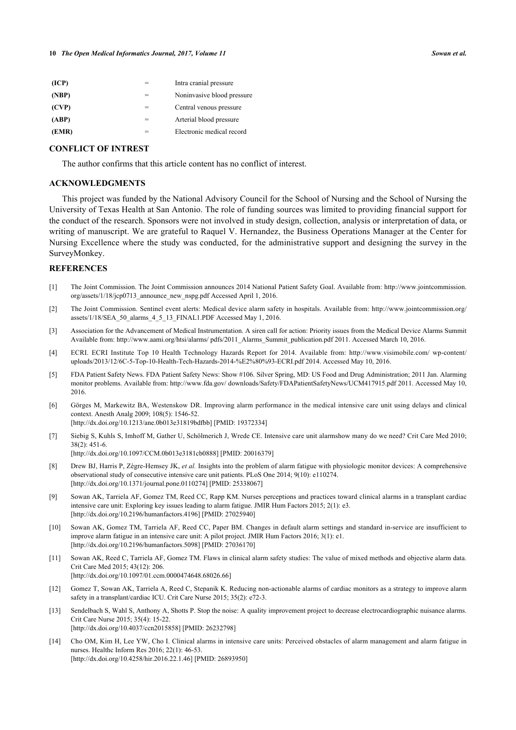| (ICP) | Intra cranial pressure     |
|-------|----------------------------|
| (NBP) | Noninvasive blood pressure |
| (CVP) | Central venous pressure    |
| (ABP) | Arterial blood pressure    |
| (EMR) | Electronic medical record  |

# **CONFLICT OF INTREST**

The author confirms that this article content has no conflict of interest.

# **ACKNOWLEDGMENTS**

This project was funded by the National Advisory Council for the School of Nursing and the School of Nursing the University of Texas Health at San Antonio. The role of funding sources was limited to providing financial support for the conduct of the research. Sponsors were not involved in study design, collection, analysis or interpretation of data, or writing of manuscript. We are grateful to Raquel V. Hernandez, the Business Operations Manager at the Center for Nursing Excellence where the study was conducted, for the administrative support and designing the survey in the SurveyMonkey.

# **REFERENCES**

- <span id="page-9-0"></span>[1] The Joint Commission. The Joint Commission announces 2014 National Patient Safety Goal. Available from: [http://www.jointcommission.](http://www.jointcommission.org/assets/1/18/jcp0713_announce_new_nspg.pdf) [org/assets/1/18/jcp0713\\_announce\\_new\\_nspg.pdf](http://www.jointcommission.org/assets/1/18/jcp0713_announce_new_nspg.pdf) Accessed April 1, 2016.
- [2] The Joint Commission. Sentinel event alerts: Medical device alarm safety in hospitals. Available from: [http://www.jointcommission.org/](http://www.jointcommission.org/assets/1/18/SEA_50_alarms_4_5_13_FINAL1.PDF) [assets/1/18/SEA\\_50\\_alarms\\_4\\_5\\_13\\_FINAL1.PDF](http://www.jointcommission.org/assets/1/18/SEA_50_alarms_4_5_13_FINAL1.PDF) Accessed May 1, 2016.
- <span id="page-9-4"></span>[3] Association for the Advancement of Medical Instrumentation. A siren call for action: Priority issues from the Medical Device Alarms Summit Available from: [http://www.aami.org/htsi/alarms/ pdfs/2011\\_Alarms\\_Summit\\_publication.pdf](http://www.aami.org/htsi/alarms/pdfs/2011_Alarms_Summit_publication.pdf) 2011. Accessed March 10, 2016.
- <span id="page-9-5"></span>[4] ECRI. ECRI Institute Top 10 Health Technology Hazards Report for 2014. Available from: [http://www.visimobile.com/ wp-content/](http://www.visimobile.com/wp-content/uploads/2013/12/6C-5-Top-10-Health-Tech-Hazards-2014-%E2%80%93-ECRI.pdf) [uploads/2013/12/6C-5-Top-10-Health-Tech-Hazards-2014-%E2%80%93-ECRI.pdf](http://www.visimobile.com/wp-content/uploads/2013/12/6C-5-Top-10-Health-Tech-Hazards-2014-%E2%80%93-ECRI.pdf) 2014. Accessed May 10, 2016.
- <span id="page-9-1"></span>[5] FDA Patient Safety News. FDA Patient Safety News: Show #106. Silver Spring, MD: US Food and Drug Administration; 2011 Jan. Alarming monitor problems. Available from: [http://www.fda.gov/ downloads/Safety/FDAPatientSafetyNews/UCM417915.pdf](http://www.fda.gov/downloads/Safety/FDAPatientSafetyNews/UCM417915.pdf) 2011. Accessed May 10, 2016.
- <span id="page-9-2"></span>[6] Görges M, Markewitz BA, Westenskow DR. Improving alarm performance in the medical intensive care unit using delays and clinical context. Anesth Analg 2009; 108(5): 1546-52. [\[http://dx.doi.org/10.1213/ane.0b013e31819bdfbb](http://dx.doi.org/10.1213/ane.0b013e31819bdfbb)] [PMID: [19372334\]](http://www.ncbi.nlm.nih.gov/pubmed/19372334)
- [7] Siebig S, Kuhls S, Imhoff M, Gather U, Schölmerich J, Wrede CE. Intensive care unit alarmshow many do we need? Crit Care Med 2010;  $38(2)$ : 451-6. [\[http://dx.doi.org/10.1097/CCM.0b013e3181cb0888\]](http://dx.doi.org/10.1097/CCM.0b013e3181cb0888) [PMID: [20016379](http://www.ncbi.nlm.nih.gov/pubmed/20016379)]
- <span id="page-9-11"></span>[8] Drew BJ, Harris P, Zègre-Hemsey JK, *et al.* Insights into the problem of alarm fatigue with physiologic monitor devices: A comprehensive observational study of consecutive intensive care unit patients. PLoS One 2014; 9(10): e110274. [\[http://dx.doi.org/10.1371/journal.pone.0110274](http://dx.doi.org/10.1371/journal.pone.0110274)] [PMID: [25338067\]](http://www.ncbi.nlm.nih.gov/pubmed/25338067)
- <span id="page-9-6"></span>[9] Sowan AK, Tarriela AF, Gomez TM, Reed CC, Rapp KM. Nurses perceptions and practices toward clinical alarms in a transplant cardiac intensive care unit: Exploring key issues leading to alarm fatigue. JMIR Hum Factors 2015; 2(1): e3. [\[http://dx.doi.org/10.2196/humanfactors.4196](http://dx.doi.org/10.2196/humanfactors.4196)] [PMID: [27025940\]](http://www.ncbi.nlm.nih.gov/pubmed/27025940)
- <span id="page-9-7"></span>[10] Sowan AK, Gomez TM, Tarriela AF, Reed CC, Paper BM. Changes in default alarm settings and standard in-service are insufficient to improve alarm fatigue in an intensive care unit: A pilot project. JMIR Hum Factors 2016; 3(1): e1. [\[http://dx.doi.org/10.2196/humanfactors.5098](http://dx.doi.org/10.2196/humanfactors.5098)] [PMID: [27036170\]](http://www.ncbi.nlm.nih.gov/pubmed/27036170)
- <span id="page-9-9"></span>[11] Sowan AK, Reed C, Tarriela AF, Gomez TM. Flaws in clinical alarm safety studies: The value of mixed methods and objective alarm data. Crit Care Med 2015; 43(12): 206. [\[http://dx.doi.org/10.1097/01.ccm.0000474648.68026.66](http://dx.doi.org/10.1097/01.ccm.0000474648.68026.66)]
- <span id="page-9-10"></span>[12] Gomez T, Sowan AK, Tarriela A, Reed C, Stepanik K. Reducing non-actionable alarms of cardiac monitors as a strategy to improve alarm safety in a transplant/cardiac ICU. Crit Care Nurse 2015; 35(2): e72-3.
- <span id="page-9-8"></span>[13] Sendelbach S, Wahl S, Anthony A, Shotts P. Stop the noise: A quality improvement project to decrease electrocardiographic nuisance alarms. Crit Care Nurse 2015; 35(4): 15-22. [\[http://dx.doi.org/10.4037/ccn2015858\]](http://dx.doi.org/10.4037/ccn2015858) [PMID: [26232798](http://www.ncbi.nlm.nih.gov/pubmed/26232798)]
- <span id="page-9-3"></span>[14] Cho OM, Kim H, Lee YW, Cho I. Clinical alarms in intensive care units: Perceived obstacles of alarm management and alarm fatigue in nurses. Healthc Inform Res 2016; 22(1): 46-53. [\[http://dx.doi.org/10.4258/hir.2016.22.1.46\]](http://dx.doi.org/10.4258/hir.2016.22.1.46) [PMID: [26893950](http://www.ncbi.nlm.nih.gov/pubmed/26893950)]